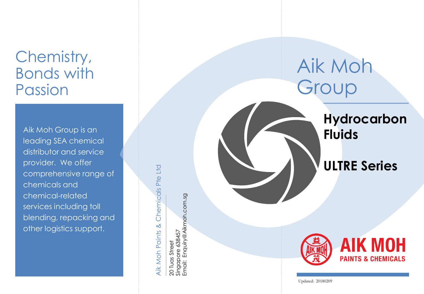## Chemistry, Bonds with Passion

Aik Moh Group is an leading SEA chemical distributor and service provider. We offer comprehensive range of chemicals and chemical -related services including toll blending, repacking and other logistics support.

Chemicals Pte Ltd Aik Moh Paints & Chemicals Pte Ltd Aik Moh Paints &

20 Tuas Street<br>Singapore 638457<br>Email: Enquiry@Aikmoh.com.sg Email: Enquiry@Aikmoh.com.sg Singapore 638457 20 Tuas Street

## Aik Moh Group

**Hydrocarbon Fluids**

## **ULTRE Series**



Updated: 20180209